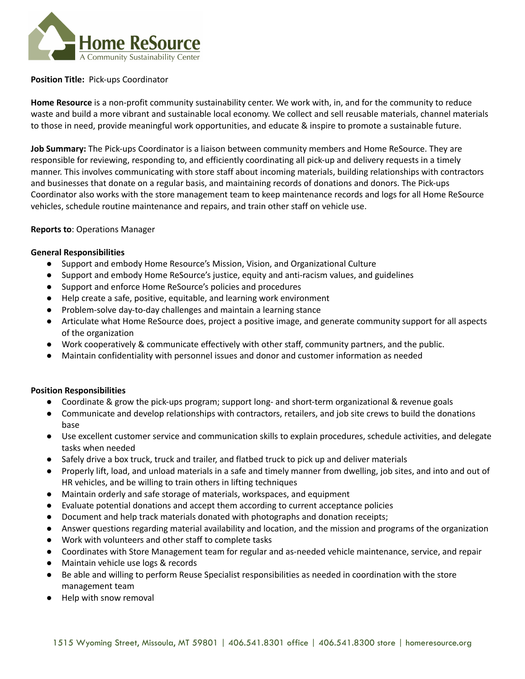

### **Position Title:** Pick-ups Coordinator

**Home Resource** is a non-profit community sustainability center. We work with, in, and for the community to reduce waste and build a more vibrant and sustainable local economy. We collect and sell reusable materials, channel materials to those in need, provide meaningful work opportunities, and educate & inspire to promote a sustainable future.

**Job Summary:** The Pick-ups Coordinator is a liaison between community members and Home ReSource. They are responsible for reviewing, responding to, and efficiently coordinating all pick-up and delivery requests in a timely manner. This involves communicating with store staff about incoming materials, building relationships with contractors and businesses that donate on a regular basis, and maintaining records of donations and donors. The Pick-ups Coordinator also works with the store management team to keep maintenance records and logs for all Home ReSource vehicles, schedule routine maintenance and repairs, and train other staff on vehicle use.

### **Reports to**: Operations Manager

### **General Responsibilities**

- Support and embody Home Resource's Mission, Vision, and Organizational Culture
- Support and embody Home ReSource's justice, equity and anti-racism values, and guidelines
- Support and enforce Home ReSource's policies and procedures
- Help create a safe, positive, equitable, and learning work environment
- Problem-solve day-to-day challenges and maintain a learning stance
- Articulate what Home ReSource does, project a positive image, and generate community support for all aspects of the organization
- Work cooperatively & communicate effectively with other staff, community partners, and the public.
- Maintain confidentiality with personnel issues and donor and customer information as needed

#### **Position Responsibilities**

- Coordinate & grow the pick-ups program; support long- and short-term organizational & revenue goals
- Communicate and develop relationships with contractors, retailers, and job site crews to build the donations base
- Use excellent customer service and communication skills to explain procedures, schedule activities, and delegate tasks when needed
- Safely drive a box truck, truck and trailer, and flatbed truck to pick up and deliver materials
- Properly lift, load, and unload materials in a safe and timely manner from dwelling, job sites, and into and out of HR vehicles, and be willing to train others in lifting techniques
- Maintain orderly and safe storage of materials, workspaces, and equipment
- Evaluate potential donations and accept them according to current acceptance policies
- Document and help track materials donated with photographs and donation receipts;
- Answer questions regarding material availability and location, and the mission and programs of the organization
- Work with volunteers and other staff to complete tasks
- Coordinates with Store Management team for regular and as-needed vehicle maintenance, service, and repair
- Maintain vehicle use logs & records
- Be able and willing to perform Reuse Specialist responsibilities as needed in coordination with the store management team
- Help with snow removal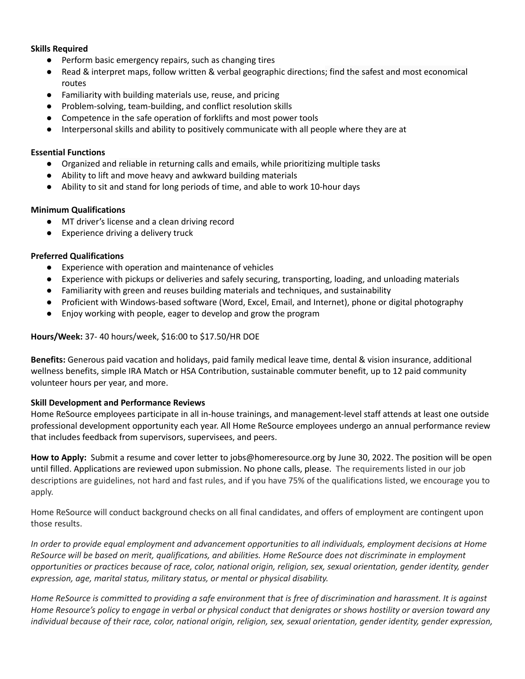# **Skills Required**

- Perform basic emergency repairs, such as changing tires
- Read & interpret maps, follow written & verbal geographic directions; find the safest and most economical routes
- Familiarity with building materials use, reuse, and pricing
- Problem-solving, team-building, and conflict resolution skills
- Competence in the safe operation of forklifts and most power tools
- Interpersonal skills and ability to positively communicate with all people where they are at

## **Essential Functions**

- Organized and reliable in returning calls and emails, while prioritizing multiple tasks
- Ability to lift and move heavy and awkward building materials
- Ability to sit and stand for long periods of time, and able to work 10-hour days

# **Minimum Qualifications**

- MT driver's license and a clean driving record
- Experience driving a delivery truck

# **Preferred Qualifications**

- Experience with operation and maintenance of vehicles
- Experience with pickups or deliveries and safely securing, transporting, loading, and unloading materials
- Familiarity with green and reuses building materials and techniques, and sustainability
- Proficient with Windows-based software (Word, Excel, Email, and Internet), phone or digital photography
- Enjoy working with people, eager to develop and grow the program

## **Hours/Week:** 37- 40 hours/week, \$16:00 to \$17.50/HR DOE

**Benefits:** Generous paid vacation and holidays, paid family medical leave time, dental & vision insurance, additional wellness benefits, simple IRA Match or HSA Contribution, sustainable commuter benefit, up to 12 paid community volunteer hours per year, and more.

# **Skill Development and Performance Reviews**

Home ReSource employees participate in all in-house trainings, and management-level staff attends at least one outside professional development opportunity each year. All Home ReSource employees undergo an annual performance review that includes feedback from supervisors, supervisees, and peers.

**How to Apply:** Submit a resume and cover letter to jobs@homeresource.org by June 30, 2022. The position will be open until filled. Applications are reviewed upon submission. No phone calls, please. The requirements listed in our job descriptions are guidelines, not hard and fast rules, and if you have 75% of the qualifications listed, we encourage you to apply.

Home ReSource will conduct background checks on all final candidates, and offers of employment are contingent upon those results.

In order to provide equal employment and advancement opportunities to all individuals, employment decisions at Home ReSource will be based on merit, qualifications, and abilities. Home ReSource does not discriminate in employment opportunities or practices because of race, color, national origin, religion, sex, sexual orientation, gender identity, gender *expression, age, marital status, military status, or mental or physical disability.*

Home ReSource is committed to providing a safe environment that is free of discrimination and harassment. It is against Home Resource's policy to engage in verbal or physical conduct that denigrates or shows hostility or aversion toward any individual because of their race, color, national origin, religion, sex, sexual orientation, gender identity, gender expression,